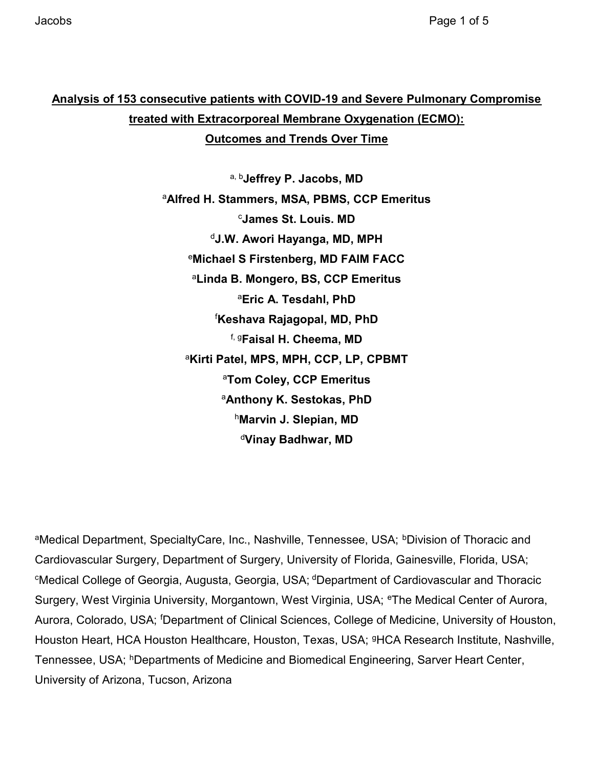## Analysis of 153 consecutive patients with COVID-19 and Severe Pulmonary Compromise treated with Extracorporeal Membrane Oxygenation (ECMO):

Outcomes and Trends Over Time

a, bJeffrey P. Jacobs, MD <sup>a</sup>Alfred H. Stammers, MSA, PBMS, CCP Emeritus <sup>c</sup>James St. Louis. MD <sup>d</sup>J.W. Awori Hayanga, MD, MPH <sup>e</sup>Michael S Firstenberg, MD FAIM FACC <sup>a</sup>Linda B. Mongero, BS, CCP Emeritus <sup>a</sup>Eric A. Tesdahl, PhD <sup>f</sup>Keshava Rajagopal, MD, PhD f, gFaisal H. Cheema, MD <sup>a</sup>Kirti Patel, MPS, MPH, CCP, LP, CPBMT <sup>a</sup>Tom Coley, CCP Emeritus aAnthony K. Sestokas, PhD hMarvin J. Slepian, MD <sup>d</sup>Vinay Badhwar, MD

aMedical Department, SpecialtyCare, Inc., Nashville, Tennessee, USA; <sup>b</sup>Division of Thoracic and Cardiovascular Surgery, Department of Surgery, University of Florida, Gainesville, Florida, USA; <sup>c</sup>Medical College of Georgia, Augusta, Georgia, USA; <sup>d</sup>Department of Cardiovascular and Thoracic Surgery, West Virginia University, Morgantown, West Virginia, USA; <sup>e</sup>The Medical Center of Aurora, Aurora, Colorado, USA; <sup>f</sup>Department of Clinical Sciences, College of Medicine, University of Houston, Houston Heart, HCA Houston Healthcare, Houston, Texas, USA; <sup>9</sup>HCA Research Institute, Nashville, Tennessee, USA; <sup>h</sup>Departments of Medicine and Biomedical Engineering, Sarver Heart Center, University of Arizona, Tucson, Arizona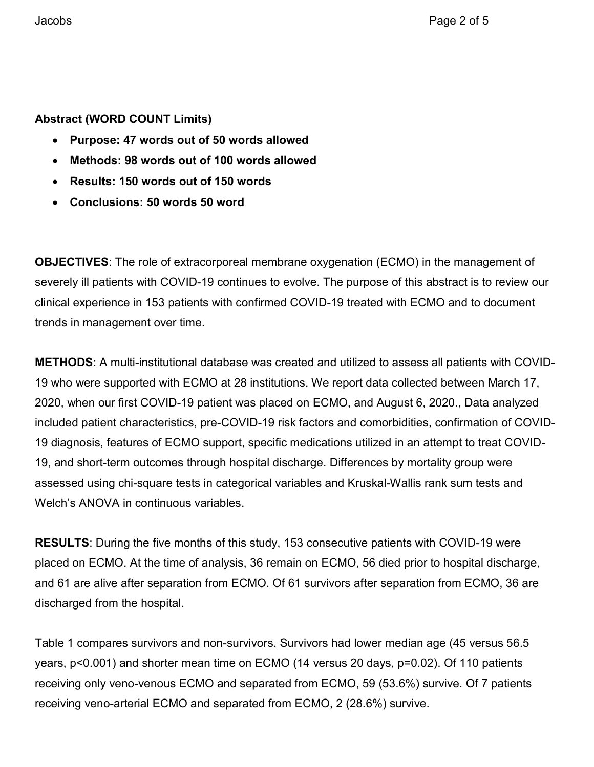### Abstract (WORD COUNT Limits)

- Purpose: 47 words out of 50 words allowed
- Methods: 98 words out of 100 words allowed
- Results: 150 words out of 150 words
- Conclusions: 50 words 50 word

**OBJECTIVES:** The role of extracorporeal membrane oxygenation (ECMO) in the management of severely ill patients with COVID-19 continues to evolve. The purpose of this abstract is to review our clinical experience in 153 patients with confirmed COVID-19 treated with ECMO and to document trends in management over time.

METHODS: A multi-institutional database was created and utilized to assess all patients with COVID-19 who were supported with ECMO at 28 institutions. We report data collected between March 17, 2020, when our first COVID-19 patient was placed on ECMO, and August 6, 2020., Data analyzed included patient characteristics, pre-COVID-19 risk factors and comorbidities, confirmation of COVID-19 diagnosis, features of ECMO support, specific medications utilized in an attempt to treat COVID-19, and short-term outcomes through hospital discharge. Differences by mortality group were assessed using chi-square tests in categorical variables and Kruskal-Wallis rank sum tests and Welch's ANOVA in continuous variables.

RESULTS: During the five months of this study, 153 consecutive patients with COVID-19 were placed on ECMO. At the time of analysis, 36 remain on ECMO, 56 died prior to hospital discharge, and 61 are alive after separation from ECMO. Of 61 survivors after separation from ECMO, 36 are discharged from the hospital.

Table 1 compares survivors and non-survivors. Survivors had lower median age (45 versus 56.5 years, p<0.001) and shorter mean time on ECMO (14 versus 20 days, p=0.02). Of 110 patients receiving only veno-venous ECMO and separated from ECMO, 59 (53.6%) survive. Of 7 patients receiving veno-arterial ECMO and separated from ECMO, 2 (28.6%) survive.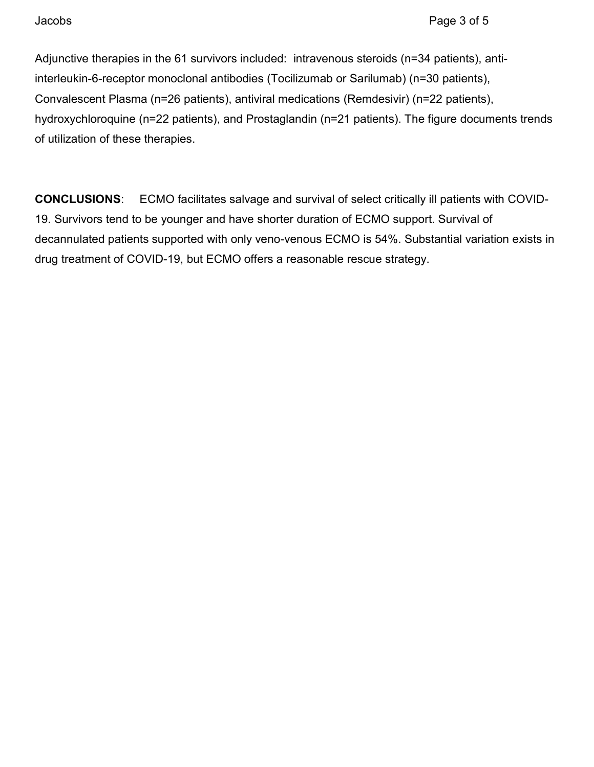Adjunctive therapies in the 61 survivors included: intravenous steroids (n=34 patients), antiinterleukin-6-receptor monoclonal antibodies (Tocilizumab or Sarilumab) (n=30 patients), Convalescent Plasma (n=26 patients), antiviral medications (Remdesivir) (n=22 patients), hydroxychloroquine (n=22 patients), and Prostaglandin (n=21 patients). The figure documents trends of utilization of these therapies.

CONCLUSIONS: ECMO facilitates salvage and survival of select critically ill patients with COVID-19. Survivors tend to be younger and have shorter duration of ECMO support. Survival of decannulated patients supported with only veno-venous ECMO is 54%. Substantial variation exists in drug treatment of COVID-19, but ECMO offers a reasonable rescue strategy.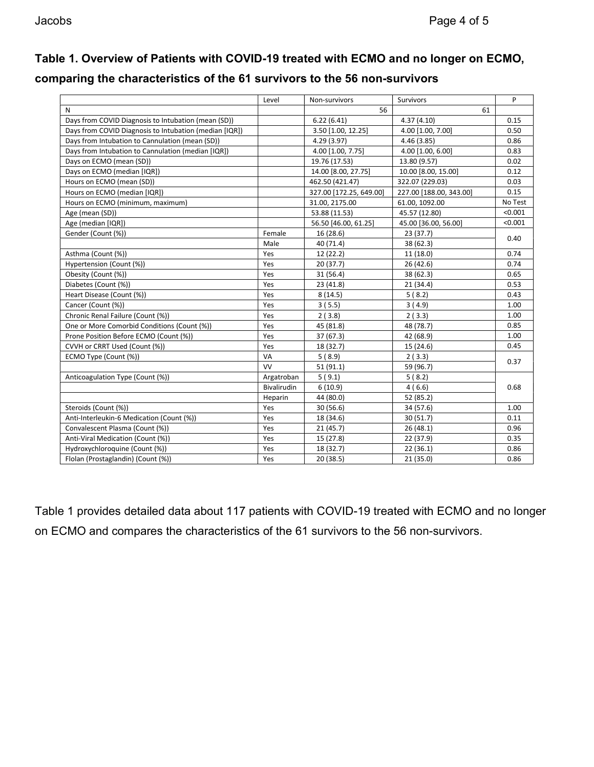# Table 1. Overview of Patients with COVID-19 treated with ECMO and no longer on ECMO,

| comparing the characteristics of the 61 survivors to the 56 non-survivors |  |  |  |
|---------------------------------------------------------------------------|--|--|--|
|---------------------------------------------------------------------------|--|--|--|

|                                                        | Level              | Non-survivors           | <b>Survivors</b>        | P       |
|--------------------------------------------------------|--------------------|-------------------------|-------------------------|---------|
| N                                                      |                    | 56                      | 61                      |         |
| Days from COVID Diagnosis to Intubation (mean (SD))    |                    | 6.22(6.41)              | 4.37(4.10)              | 0.15    |
| Days from COVID Diagnosis to Intubation (median [IQR]) |                    | 3.50 [1.00, 12.25]      | 4.00 [1.00, 7.00]       | 0.50    |
| Days from Intubation to Cannulation (mean (SD))        |                    | 4.29(3.97)              | 4.46 (3.85)             | 0.86    |
| Days from Intubation to Cannulation (median [IQR])     |                    | 4.00 [1.00, 7.75]       | 4.00 [1.00, 6.00]       | 0.83    |
| Days on ECMO (mean (SD))                               |                    | 19.76 (17.53)           | 13.80 (9.57)            | 0.02    |
| Days on ECMO (median [IQR])                            |                    | 14.00 [8.00, 27.75]     | 10.00 [8.00, 15.00]     | 0.12    |
| Hours on ECMO (mean (SD))                              |                    | 462.50 (421.47)         | 322.07 (229.03)         | 0.03    |
| Hours on ECMO (median [IQR])                           |                    | 327.00 [172.25, 649.00] | 227.00 [188.00, 343.00] | 0.15    |
| Hours on ECMO (minimum, maximum)                       |                    | 31.00, 2175.00          | 61.00, 1092.00          | No Test |
| Age (mean (SD))                                        |                    | 53.88 (11.53)           | 45.57 (12.80)           | < 0.001 |
| Age (median [IQR])                                     |                    | 56.50 [46.00, 61.25]    | 45.00 [36.00, 56.00]    | < 0.001 |
| Gender (Count (%))                                     | Female             | 16 (28.6)               | 23 (37.7)               | 0.40    |
|                                                        | Male               | 40 (71.4)               | 38 (62.3)               |         |
| Asthma (Count (%))                                     | Yes                | 12 (22.2)               | 11 (18.0)               | 0.74    |
| Hypertension (Count (%))                               | Yes                | 20(37.7)                | 26 (42.6)               | 0.74    |
| Obesity (Count (%))                                    | Yes                | 31 (56.4)               | 38 (62.3)               | 0.65    |
| Diabetes (Count (%))                                   | Yes                | 23 (41.8)               | 21(34.4)                | 0.53    |
| Heart Disease (Count (%))                              | Yes                | 8(14.5)                 | 5(8.2)                  | 0.43    |
| Cancer (Count (%))                                     | Yes                | 3(5.5)                  | 3(4.9)                  | 1.00    |
| Chronic Renal Failure (Count (%))                      | Yes                | 2(3.8)                  | 2(3.3)                  | 1.00    |
| One or More Comorbid Conditions (Count (%))            | Yes                | 45 (81.8)               | 48 (78.7)               | 0.85    |
| Prone Position Before ECMO (Count (%))                 | Yes                | 37 (67.3)               | 42 (68.9)               | 1.00    |
| CVVH or CRRT Used (Count (%))                          | Yes                | 18 (32.7)               | 15 (24.6)               | 0.45    |
| ECMO Type (Count (%))                                  | VA                 | 5(8.9)                  | 2(3.3)                  |         |
|                                                        | <b>VV</b>          | 51(91.1)                | 59 (96.7)               | 0.37    |
| Anticoagulation Type (Count (%))                       | Argatroban         | 5(9.1)                  | 5(8.2)                  |         |
|                                                        | <b>Bivalirudin</b> | 6(10.9)                 | 4(6.6)                  | 0.68    |
|                                                        | Heparin            | 44 (80.0)               | 52 (85.2)               |         |
| Steroids (Count (%))                                   | Yes                | 30 (56.6)               | 34 (57.6)               | 1.00    |
| Anti-Interleukin-6 Medication (Count (%))              | Yes                | 18 (34.6)               | 30 (51.7)               | 0.11    |
| Convalescent Plasma (Count (%))                        | Yes                | 21(45.7)                | 26(48.1)                | 0.96    |
| Anti-Viral Medication (Count (%))                      | Yes                | 15 (27.8)               | 22 (37.9)               | 0.35    |
| Hydroxychloroquine (Count (%))                         | Yes                | 18 (32.7)               | 22 (36.1)               | 0.86    |
| Flolan (Prostaglandin) (Count (%))                     | Yes                | 20 (38.5)               | 21(35.0)                | 0.86    |

Table 1 provides detailed data about 117 patients with COVID-19 treated with ECMO and no longer on ECMO and compares the characteristics of the 61 survivors to the 56 non-survivors.